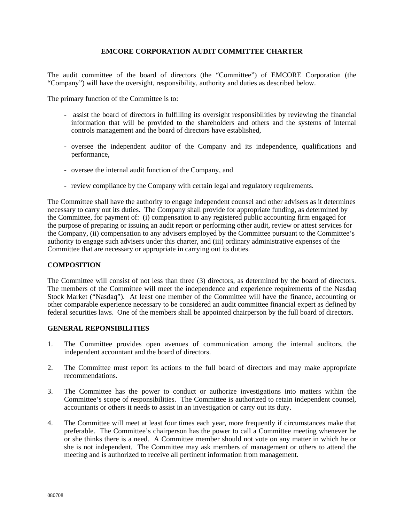## **EMCORE CORPORATION AUDIT COMMITTEE CHARTER**

The audit committee of the board of directors (the "Committee") of EMCORE Corporation (the "Company") will have the oversight, responsibility, authority and duties as described below.

The primary function of the Committee is to:

- assist the board of directors in fulfilling its oversight responsibilities by reviewing the financial information that will be provided to the shareholders and others and the systems of internal controls management and the board of directors have established,
- oversee the independent auditor of the Company and its independence, qualifications and performance,
- oversee the internal audit function of the Company, and
- review compliance by the Company with certain legal and regulatory requirements.

The Committee shall have the authority to engage independent counsel and other advisers as it determines necessary to carry out its duties. The Company shall provide for appropriate funding, as determined by the Committee, for payment of: (i) compensation to any registered public accounting firm engaged for the purpose of preparing or issuing an audit report or performing other audit, review or attest services for the Company, (ii) compensation to any advisers employed by the Committee pursuant to the Committee's authority to engage such advisers under this charter, and (iii) ordinary administrative expenses of the Committee that are necessary or appropriate in carrying out its duties.

## **COMPOSITION**

The Committee will consist of not less than three (3) directors, as determined by the board of directors. The members of the Committee will meet the independence and experience requirements of the Nasdaq Stock Market ("Nasdaq"). At least one member of the Committee will have the finance, accounting or other comparable experience necessary to be considered an audit committee financial expert as defined by federal securities laws. One of the members shall be appointed chairperson by the full board of directors.

## **GENERAL REPONSIBILITIES**

- 1. The Committee provides open avenues of communication among the internal auditors, the independent accountant and the board of directors.
- 2. The Committee must report its actions to the full board of directors and may make appropriate recommendations.
- 3. The Committee has the power to conduct or authorize investigations into matters within the Committee's scope of responsibilities. The Committee is authorized to retain independent counsel, accountants or others it needs to assist in an investigation or carry out its duty.
- 4. The Committee will meet at least four times each year, more frequently if circumstances make that preferable. The Committee's chairperson has the power to call a Committee meeting whenever he or she thinks there is a need. A Committee member should not vote on any matter in which he or she is not independent. The Committee may ask members of management or others to attend the meeting and is authorized to receive all pertinent information from management.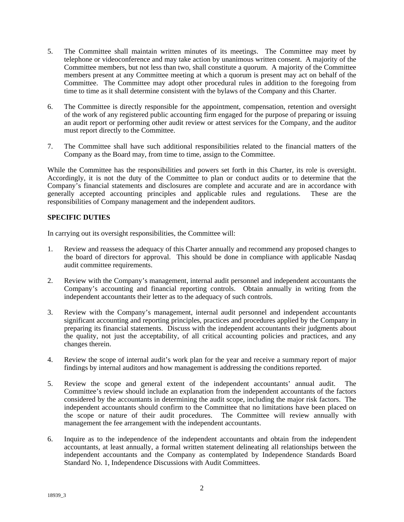- 5. The Committee shall maintain written minutes of its meetings. The Committee may meet by telephone or videoconference and may take action by unanimous written consent. A majority of the Committee members, but not less than two, shall constitute a quorum. A majority of the Committee members present at any Committee meeting at which a quorum is present may act on behalf of the Committee. The Committee may adopt other procedural rules in addition to the foregoing from time to time as it shall determine consistent with the bylaws of the Company and this Charter.
- 6. The Committee is directly responsible for the appointment, compensation, retention and oversight of the work of any registered public accounting firm engaged for the purpose of preparing or issuing an audit report or performing other audit review or attest services for the Company, and the auditor must report directly to the Committee.
- 7. The Committee shall have such additional responsibilities related to the financial matters of the Company as the Board may, from time to time, assign to the Committee.

While the Committee has the responsibilities and powers set forth in this Charter, its role is oversight. Accordingly, it is not the duty of the Committee to plan or conduct audits or to determine that the Company's financial statements and disclosures are complete and accurate and are in accordance with generally accepted accounting principles and applicable rules and regulations. These are the responsibilities of Company management and the independent auditors.

## **SPECIFIC DUTIES**

In carrying out its oversight responsibilities, the Committee will:

- 1. Review and reassess the adequacy of this Charter annually and recommend any proposed changes to the board of directors for approval. This should be done in compliance with applicable Nasdaq audit committee requirements.
- 2. Review with the Company's management, internal audit personnel and independent accountants the Company's accounting and financial reporting controls. Obtain annually in writing from the independent accountants their letter as to the adequacy of such controls.
- 3. Review with the Company's management, internal audit personnel and independent accountants significant accounting and reporting principles, practices and procedures applied by the Company in preparing its financial statements. Discuss with the independent accountants their judgments about the quality, not just the acceptability, of all critical accounting policies and practices, and any changes therein.
- 4. Review the scope of internal audit's work plan for the year and receive a summary report of major findings by internal auditors and how management is addressing the conditions reported.
- 5. Review the scope and general extent of the independent accountants' annual audit. The Committee's review should include an explanation from the independent accountants of the factors considered by the accountants in determining the audit scope, including the major risk factors. The independent accountants should confirm to the Committee that no limitations have been placed on the scope or nature of their audit procedures. The Committee will review annually with management the fee arrangement with the independent accountants.
- 6. Inquire as to the independence of the independent accountants and obtain from the independent accountants, at least annually, a formal written statement delineating all relationships between the independent accountants and the Company as contemplated by Independence Standards Board Standard No. 1, Independence Discussions with Audit Committees.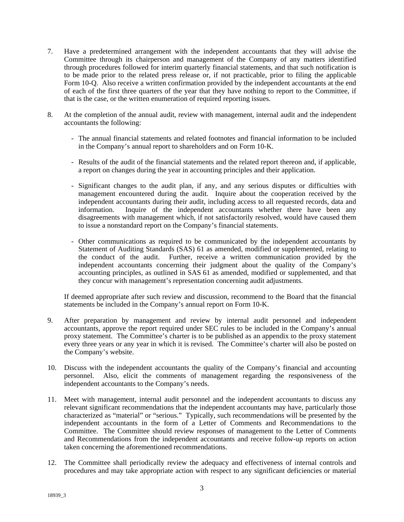- 7. Have a predetermined arrangement with the independent accountants that they will advise the Committee through its chairperson and management of the Company of any matters identified through procedures followed for interim quarterly financial statements, and that such notification is to be made prior to the related press release or, if not practicable, prior to filing the applicable Form 10-Q. Also receive a written confirmation provided by the independent accountants at the end of each of the first three quarters of the year that they have nothing to report to the Committee, if that is the case, or the written enumeration of required reporting issues.
- 8. At the completion of the annual audit, review with management, internal audit and the independent accountants the following:
	- The annual financial statements and related footnotes and financial information to be included in the Company's annual report to shareholders and on Form 10-K.
	- Results of the audit of the financial statements and the related report thereon and, if applicable, a report on changes during the year in accounting principles and their application.
	- Significant changes to the audit plan, if any, and any serious disputes or difficulties with management encountered during the audit. Inquire about the cooperation received by the independent accountants during their audit, including access to all requested records, data and information. Inquire of the independent accountants whether there have been any disagreements with management which, if not satisfactorily resolved, would have caused them to issue a nonstandard report on the Company's financial statements.
	- Other communications as required to be communicated by the independent accountants by Statement of Auditing Standards (SAS) 61 as amended, modified or supplemented, relating to the conduct of the audit. Further, receive a written communication provided by the independent accountants concerning their judgment about the quality of the Company's accounting principles, as outlined in SAS 61 as amended, modified or supplemented, and that they concur with management's representation concerning audit adjustments.

If deemed appropriate after such review and discussion, recommend to the Board that the financial statements be included in the Company's annual report on Form 10-K.

- 9. After preparation by management and review by internal audit personnel and independent accountants, approve the report required under SEC rules to be included in the Company's annual proxy statement. The Committee's charter is to be published as an appendix to the proxy statement every three years or any year in which it is revised. The Committee's charter will also be posted on the Company's website.
- 10. Discuss with the independent accountants the quality of the Company's financial and accounting personnel. Also, elicit the comments of management regarding the responsiveness of the independent accountants to the Company's needs.
- 11. Meet with management, internal audit personnel and the independent accountants to discuss any relevant significant recommendations that the independent accountants may have, particularly those characterized as "material" or "serious." Typically, such recommendations will be presented by the independent accountants in the form of a Letter of Comments and Recommendations to the Committee. The Committee should review responses of management to the Letter of Comments and Recommendations from the independent accountants and receive follow-up reports on action taken concerning the aforementioned recommendations.
- 12. The Committee shall periodically review the adequacy and effectiveness of internal controls and procedures and may take appropriate action with respect to any significant deficiencies or material